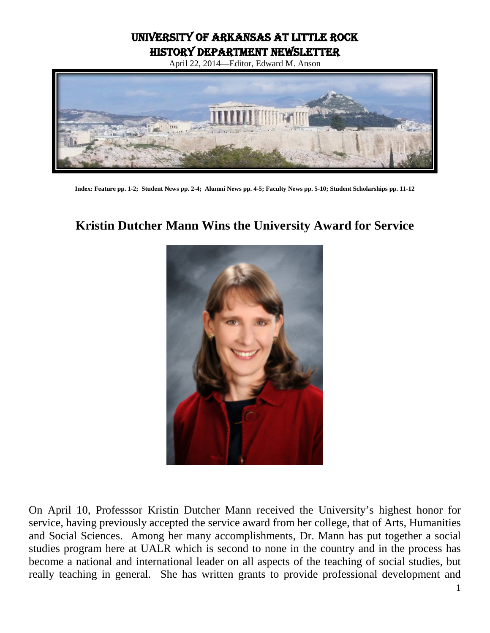University of Arkansas at Little Rock History Department Newsletter

April 22, 2014—Editor, Edward M. Anson



**Index: Feature pp. 1-2; Student News pp. 2-4; Alumni News pp. 4-5; Faculty News pp. 5-10; Student Scholarships pp. 11-12**

# **Kristin Dutcher Mann Wins the University Award for Service**



On April 10, Professsor Kristin Dutcher Mann received the University's highest honor for service, having previously accepted the service award from her college, that of Arts, Humanities and Social Sciences. Among her many accomplishments, Dr. Mann has put together a social studies program here at UALR which is second to none in the country and in the process has become a national and international leader on all aspects of the teaching of social studies, but really teaching in general. She has written grants to provide professional development and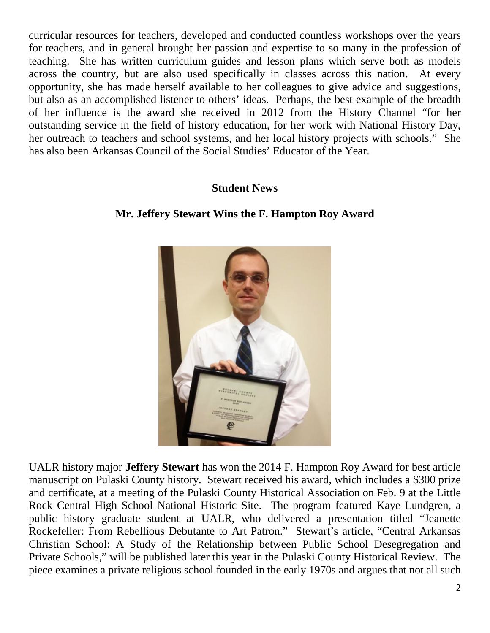curricular resources for teachers, developed and conducted countless workshops over the years for teachers, and in general brought her passion and expertise to so many in the profession of teaching. She has written curriculum guides and lesson plans which serve both as models across the country, but are also used specifically in classes across this nation. At every opportunity, she has made herself available to her colleagues to give advice and suggestions, but also as an accomplished listener to others' ideas. Perhaps, the best example of the breadth of her influence is the award she received in 2012 from the History Channel "for her outstanding service in the field of history education, for her work with National History Day, her outreach to teachers and school systems, and her local history projects with schools." She has also been Arkansas Council of the Social Studies' Educator of the Year.

### **Student News**

### **Mr. Jeffery Stewart Wins the F. Hampton Roy Award**



UALR history major **Jeffery Stewart** has won the 2014 F. Hampton Roy Award for best article manuscript on Pulaski County history. Stewart received his award, which includes a \$300 prize and certificate, at a meeting of the [Pulaski County Historical Association](http://pulaskicountyhistoricalsociety.org/) on Feb. 9 at the Little Rock Central High School National Historic Site. The program featured Kaye Lundgren, a public history graduate student at UALR, who delivered a presentation titled "Jeanette Rockefeller: From Rebellious Debutante to Art Patron." Stewart's article, "Central Arkansas Christian School: A Study of the Relationship between Public School Desegregation and Private Schools," will be published later this year in the Pulaski County Historical Review. The piece examines a private religious school founded in the early 1970s and argues that not all such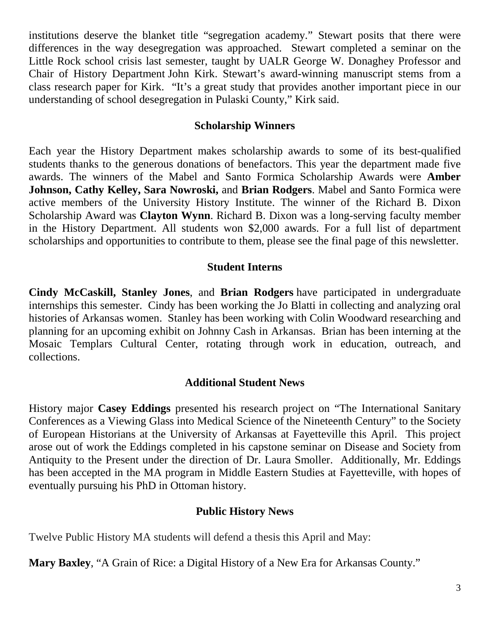institutions deserve the blanket title "segregation academy." Stewart posits that there were differences in the way desegregation was approached. Stewart completed a seminar on the Little Rock school crisis last semester, taught by UALR George W. Donaghey Professor and [Chair of History Department](http://ualr.edu/history/) John Kirk. Stewart's award-winning manuscript stems from a class research paper for Kirk. "It's a great study that provides another important piece in our understanding of school desegregation in Pulaski County," Kirk said.

### **Scholarship Winners**

Each year the History Department makes scholarship awards to some of its best-qualified students thanks to the generous donations of benefactors. This year the department made five awards. The winners of the Mabel and Santo Formica Scholarship Awards were **Amber Johnson, Cathy Kelley, Sara Nowroski,** and **Brian Rodgers**. Mabel and Santo Formica were active members of the University History Institute. The winner of the Richard B. Dixon Scholarship Award was **Clayton Wynn**. Richard B. Dixon was a long-serving faculty member in the History Department. All students won \$2,000 awards. For a full list of department scholarships and opportunities to contribute to them, please see the final page of this newsletter.

### **Student Interns**

**Cindy McCaskill, Stanley Jones**, and **Brian Rodgers** have participated in undergraduate internships this semester. Cindy has been working the Jo Blatti in collecting and analyzing oral histories of Arkansas women. Stanley has been working with Colin Woodward researching and planning for an upcoming exhibit on Johnny Cash in Arkansas. Brian has been interning at the Mosaic Templars Cultural Center, rotating through work in education, outreach, and collections.

#### **Additional Student News**

History major **Casey Eddings** presented his research project on "The International Sanitary Conferences as a Viewing Glass into Medical Science of the Nineteenth Century" to the Society of European Historians at the University of Arkansas at Fayetteville this April. This project arose out of work the Eddings completed in his capstone seminar on Disease and Society from Antiquity to the Present under the direction of Dr. Laura Smoller. Additionally, Mr. Eddings has been accepted in the MA program in Middle Eastern Studies at Fayetteville, with hopes of eventually pursuing his PhD in Ottoman history.

### **Public History News**

Twelve Public History MA students will defend a thesis this April and May:

**Mary Baxley**, "A Grain of Rice: a Digital History of a New Era for Arkansas County."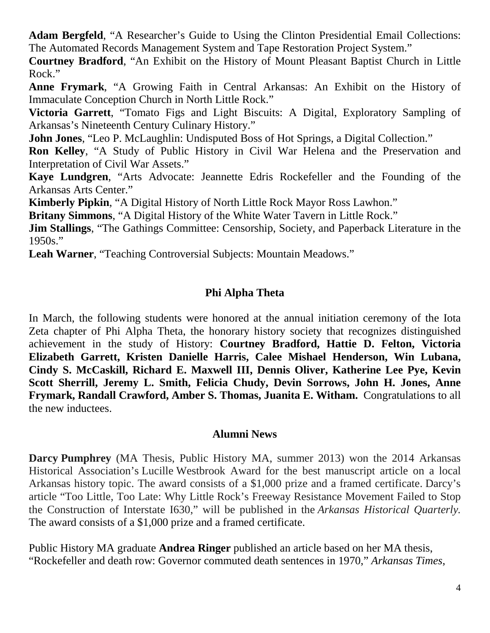**Adam Bergfeld**, "A Researcher's Guide to Using the Clinton Presidential Email Collections: The Automated Records Management System and Tape Restoration Project System."

**Courtney Bradford**, "An Exhibit on the History of Mount Pleasant Baptist Church in Little Rock."

**Anne Frymark**, "A Growing Faith in Central Arkansas: An Exhibit on the History of Immaculate Conception Church in North Little Rock."

**Victoria Garrett**, "Tomato Figs and Light Biscuits: A Digital, Exploratory Sampling of Arkansas's Nineteenth Century Culinary History."

**John Jones**, "Leo P. McLaughlin: Undisputed Boss of Hot Springs, a Digital Collection."

**Ron Kelley**, "A Study of Public History in Civil War Helena and the Preservation and Interpretation of Civil War Assets."

**Kaye Lundgren**, "Arts Advocate: Jeannette Edris Rockefeller and the Founding of the Arkansas Arts Center."

**Kimberly Pipkin**, "A Digital History of North Little Rock Mayor Ross Lawhon."

**Britany Simmons**, "A Digital History of the White Water Tavern in Little Rock."

**Jim Stallings**, "The Gathings Committee: Censorship, Society, and Paperback Literature in the 1950s."

**Leah Warner**, "Teaching Controversial Subjects: Mountain Meadows."

## **Phi Alpha Theta**

In March, the following students were honored at the annual initiation ceremony of the Iota Zeta chapter of Phi Alpha Theta, the honorary history society that recognizes distinguished achievement in the study of History: **Courtney Bradford, Hattie D. Felton, Victoria Elizabeth Garrett, Kristen Danielle Harris, Calee Mishael Henderson, Win Lubana, Cindy S. McCaskill, Richard E. Maxwell III, Dennis Oliver, Katherine Lee Pye, Kevin Scott Sherrill, Jeremy L. Smith, Felicia Chudy, Devin Sorrows, John H. Jones, Anne Frymark, Randall Crawford, Amber S. Thomas, Juanita E. Witham.** Congratulations to all the new inductees.

#### **Alumni News**

**Darcy Pumphrey** (MA Thesis, Public History MA, summer 2013) won the 2014 Arkansas Historical Association's Lucille Westbrook Award for the best manuscript article on a local Arkansas history topic. The award consists of a \$1,000 prize and a framed certificate. Darcy's article "Too Little, Too Late: Why Little Rock's Freeway Resistance Movement Failed to Stop the Construction of Interstate I630," will be published in the *Arkansas Historical Quarterly.* The award consists of a \$1,000 prize and a framed certificate.

Public History MA graduate **Andrea Ringer** published an article based on her MA thesis, "Rockefeller and death row: Governor commuted death sentences in 1970," *Arkansas Times*,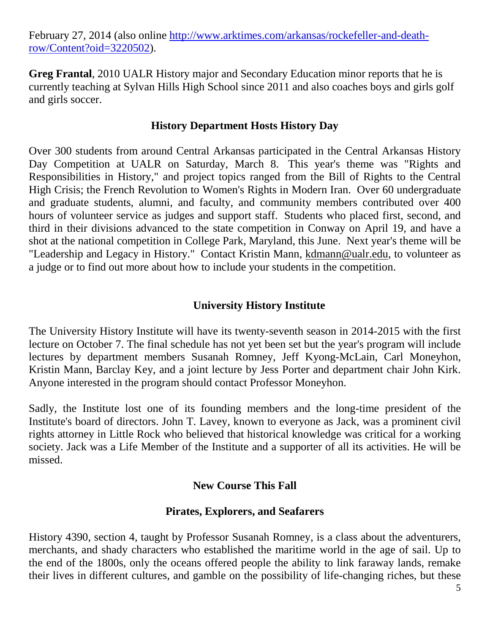February 27, 2014 (also online [http://www.arktimes.com/arkansas/rockefeller-and-death](http://www.arktimes.com/arkansas/rockefeller-and-death-row/Content?oid=3220502)[row/Content?oid=3220502\)](http://www.arktimes.com/arkansas/rockefeller-and-death-row/Content?oid=3220502).

**Greg Frantal**, 2010 UALR History major and Secondary Education minor reports that he is currently teaching at Sylvan Hills High School since 2011 and also coaches boys and girls golf and girls soccer.

#### **History Department Hosts History Day**

Over 300 students from around Central Arkansas participated in the Central Arkansas History Day Competition at UALR on Saturday, March 8. This year's theme was "Rights and Responsibilities in History," and project topics ranged from the Bill of Rights to the Central High Crisis; the French Revolution to Women's Rights in Modern Iran. Over 60 undergraduate and graduate students, alumni, and faculty, and community members contributed over 400 hours of volunteer service as judges and support staff. Students who placed first, second, and third in their divisions advanced to the state competition in Conway on April 19, and have a shot at the national competition in College Park, Maryland, this June. Next year's theme will be "Leadership and Legacy in History." Contact Kristin Mann, [kdmann@ualr.edu,](mailto:kdmann@ualr.edu) to volunteer as a judge or to find out more about how to include your students in the competition.

## **University History Institute**

The University History Institute will have its twenty-seventh season in 2014-2015 with the first lecture on October 7. The final schedule has not yet been set but the year's program will include lectures by department members Susanah Romney, Jeff Kyong-McLain, Carl Moneyhon, Kristin Mann, Barclay Key, and a joint lecture by Jess Porter and department chair John Kirk. Anyone interested in the program should contact Professor Moneyhon.

Sadly, the Institute lost one of its founding members and the long-time president of the Institute's board of directors. John T. Lavey, known to everyone as Jack, was a prominent civil rights attorney in Little Rock who believed that historical knowledge was critical for a working society. Jack was a Life Member of the Institute and a supporter of all its activities. He will be missed.

### **New Course This Fall**

### **Pirates, Explorers, and Seafarers**

History 4390, section 4, taught by Professor Susanah Romney, is a class about the adventurers, merchants, and shady characters who established the maritime world in the age of sail. Up to the end of the 1800s, only the oceans offered people the ability to link faraway lands, remake their lives in different cultures, and gamble on the possibility of life-changing riches, but these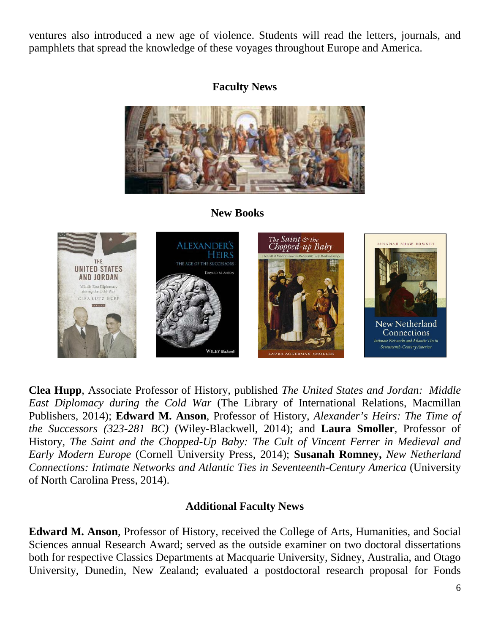ventures also introduced a new age of violence. Students will read the letters, journals, and pamphlets that spread the knowledge of these voyages throughout Europe and America.

### **Faculty News**



 **New Books**



**Clea Hupp**, Associate Professor of History, published *The United States and Jordan: Middle East Diplomacy during the Cold War* (The Library of International Relations, Macmillan Publishers, 2014); **Edward M. Anson**, Professor of History, *Alexander's Heirs: The Time of the Successors (323-281 BC)* (Wiley-Blackwell, 2014); and **Laura Smoller**, Professor of History, *The Saint and the Chopped-Up Baby: The Cult of Vincent Ferrer in Medieval and Early Modern Europe* (Cornell University Press, 2014); **Susanah Romney,** *New Netherland Connections: Intimate Networks and Atlantic Ties in Seventeenth-Century America* (University of North Carolina Press, 2014).

### **Additional Faculty News**

**Edward M. Anson**, Professor of History, received the College of Arts, Humanities, and Social Sciences annual Research Award; served as the outside examiner on two doctoral dissertations both for respective Classics Departments at Macquarie University, Sidney, Australia, and Otago University, Dunedin, New Zealand; evaluated a postdoctoral research proposal for Fonds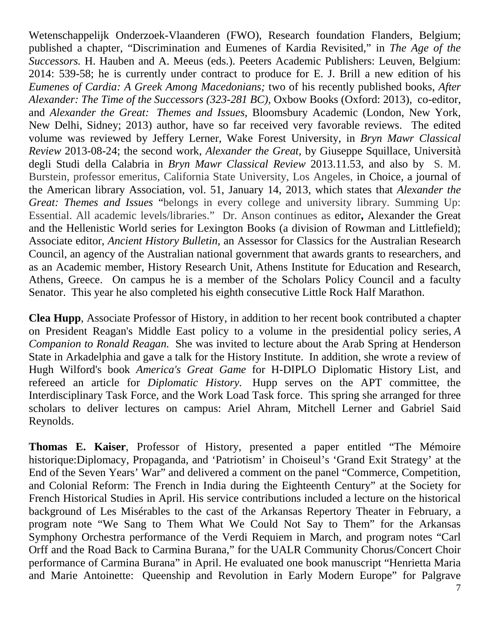Wetenschappelijk Onderzoek-Vlaanderen (FWO), Research foundation Flanders, Belgium; published a chapter, "Discrimination and Eumenes of Kardia Revisited," in *The Age of the Successors.* H. Hauben and A. Meeus (eds.). Peeters Academic Publishers: Leuven, Belgium: 2014: 539-58; he is currently under contract to produce for E. J. Brill a new edition of his *Eumenes of Cardia: A Greek Among Macedonians;* two of his recently published books, *After Alexander: The Time of the Successors (323-281 BC),* Oxbow Books (Oxford: 2013), co-editor, and *Alexander the Great: Themes and Issues*, Bloomsbury Academic (London, New York, New Delhi, Sidney; 2013) author, have so far received very favorable reviews. The edited volume was reviewed by Jeffery Lerner, Wake Forest University, in *Bryn Mawr Classical Review* 2013-08-24; the second work, *Alexander the Great,* by Giuseppe Squillace, Università degli Studi della Calabria in *Bryn Mawr Classical Review* 2013.11.53, and also by S. M. Burstein, professor emeritus, California State University, Los Angeles, in Choice, a journal of the American library Association, vol. 51, January 14, 2013, which states that *Alexander the Great: Themes and Issues* "belongs in every college and university library. Summing Up: Essential. All academic levels/libraries." Dr. Anson continues as editor**,** Alexander the Great and the Hellenistic World series for Lexington Books (a division of Rowman and Littlefield); Associate editor, *Ancient History Bulletin,* an Assessor for Classics for the Australian Research Council, an agency of the Australian national government that awards grants to researchers, and as an Academic member, History Research Unit, Athens Institute for Education and Research, Athens, Greece. On campus he is a member of the Scholars Policy Council and a faculty Senator. This year he also completed his eighth consecutive Little Rock Half Marathon.

**Clea Hupp**, Associate Professor of History, in addition to her recent book contributed a chapter on President Reagan's Middle East policy to a volume in the presidential policy series, *A Companion to Ronald Reagan.* She was invited to lecture about the Arab Spring at Henderson State in Arkadelphia and gave a talk for the History Institute. In addition, she wrote a review of Hugh Wilford's book *America's Great Game* for H-DIPLO Diplomatic History List, and refereed an article for *Diplomatic History.* Hupp serves on the APT committee, the Interdisciplinary Task Force, and the Work Load Task force. This spring she arranged for three scholars to deliver lectures on campus: Ariel Ahram, Mitchell Lerner and Gabriel Said Reynolds.

**Thomas E. Kaiser**, Professor of History, presented a paper entitled "The Mémoire historique:Diplomacy, Propaganda, and 'Patriotism' in Choiseul's 'Grand Exit Strategy' at the End of the Seven Years' War" and delivered a comment on the panel "Commerce, Competition, and Colonial Reform: The French in India during the Eighteenth Century" at the Society for French Historical Studies in April. His service contributions included a lecture on the historical background of Les Misérables to the cast of the Arkansas Repertory Theater in February, a program note "We Sang to Them What We Could Not Say to Them" for the Arkansas Symphony Orchestra performance of the Verdi Requiem in March, and program notes "Carl Orff and the Road Back to Carmina Burana," for the UALR Community Chorus/Concert Choir performance of Carmina Burana" in April. He evaluated one book manuscript "Henrietta Maria and Marie Antoinette: Queenship and Revolution in Early Modern Europe" for Palgrave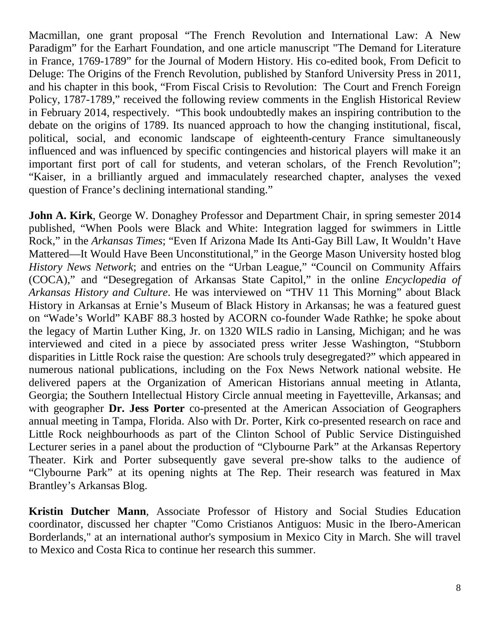Macmillan, one grant proposal "The French Revolution and International Law: A New Paradigm" for the Earhart Foundation, and one article manuscript "The Demand for Literature in France, 1769-1789" for the Journal of Modern History. His co-edited book, From Deficit to Deluge: The Origins of the French Revolution, published by Stanford University Press in 2011, and his chapter in this book, "From Fiscal Crisis to Revolution: The Court and French Foreign Policy, 1787-1789," received the following review comments in the English Historical Review in February 2014, respectively. "This book undoubtedly makes an inspiring contribution to the debate on the origins of 1789. Its nuanced approach to how the changing institutional, fiscal, political, social, and economic landscape of eighteenth-century France simultaneously influenced and was influenced by specific contingencies and historical players will make it an important first port of call for students, and veteran scholars, of the French Revolution"; "Kaiser, in a brilliantly argued and immaculately researched chapter, analyses the vexed question of France's declining international standing."

**John A. Kirk**, George W. Donaghey Professor and Department Chair, in spring semester 2014 published, "When Pools were Black and White: Integration lagged for swimmers in Little Rock," in the *Arkansas Times*; "Even If Arizona Made Its Anti-Gay Bill Law, It Wouldn't Have Mattered—It Would Have Been Unconstitutional," in the George Mason University hosted blog *History News Network*; and entries on the "Urban League," "Council on Community Affairs (COCA)," and "Desegregation of Arkansas State Capitol," in the online *Encyclopedia of Arkansas History and Culture*. He was interviewed on "THV 11 This Morning" about Black History in Arkansas at Ernie's Museum of Black History in Arkansas; he was a featured guest on "Wade's World" KABF 88.3 hosted by ACORN co-founder Wade Rathke; he spoke about the legacy of Martin Luther King, Jr. on 1320 WILS radio in Lansing, Michigan; and he was interviewed and cited in a piece by associated press writer Jesse Washington, "Stubborn disparities in Little Rock raise the question: Are schools truly desegregated?" which appeared in numerous national publications, including on the Fox News Network national website. He delivered papers at the Organization of American Historians annual meeting in Atlanta, Georgia; the Southern Intellectual History Circle annual meeting in Fayetteville, Arkansas; and with geographer **Dr. Jess Porter** co-presented at the American Association of Geographers annual meeting in Tampa, Florida. Also with Dr. Porter, Kirk co-presented research on race and Little Rock neighbourhoods as part of the Clinton School of Public Service Distinguished Lecturer series in a panel about the production of "Clybourne Park" at the Arkansas Repertory Theater. Kirk and Porter subsequently gave several pre-show talks to the audience of "Clybourne Park" at its opening nights at The Rep. Their research was featured in Max Brantley's Arkansas Blog.

**Kristin Dutcher Mann**, Associate Professor of History and Social Studies Education coordinator, discussed her chapter "Como Cristianos Antiguos: Music in the Ibero-American Borderlands," at an international author's symposium in Mexico City in March. She will travel to Mexico and Costa Rica to continue her research this summer.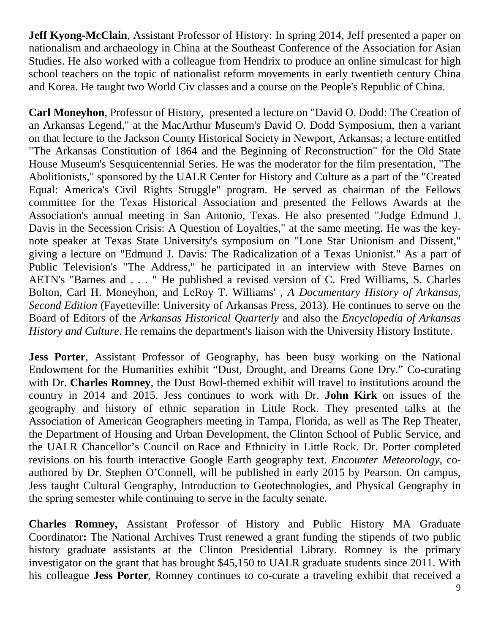**Jeff Kyong-McClain,** Assistant Professor of History: In spring 2014, Jeff presented a paper on nationalism and archaeology in China at the Southeast Conference of the Association for Asian Studies. He also worked with a colleague from Hendrix to produce an online simulcast for high school teachers on the topic of nationalist reform movements in early twentieth century China and Korea. He taught two World Civ classes and a course on the People's Republic of China.

**Carl Moneyhon**, Professor of History, presented a lecture on "David O. Dodd: The Creation of an Arkansas Legend," at the MacArthur Museum's David O. Dodd Symposium, then a variant on that lecture to the Jackson County Historical Society in Newport, Arkansas; a lecture entitled "The Arkansas Constitution of 1864 and the Beginning of Reconstruction" for the Old State House Museum's Sesquicentennial Series. He was the moderator for the film presentation, "The Abolitionists," sponsored by the UALR Center for History and Culture as a part of the "Created Equal: America's Civil Rights Struggle" program. He served as chairman of the Fellows committee for the Texas Historical Association and presented the Fellows Awards at the Association's annual meeting in San Antonio, Texas. He also presented "Judge Edmund J. Davis in the Secession Crisis: A Question of Loyalties," at the same meeting. He was the keynote speaker at Texas State University's symposium on "Lone Star Unionism and Dissent," giving a lecture on "Edmund J. Davis: The Radicalization of a Texas Unionist." As a part of Public Television's "The Address," he participated in an interview with Steve Barnes on AETN's "Barnes and . . . " He published a revised version of C. Fred Williams, S. Charles Bolton, Carl H. Moneyhon, and LeRoy T. Williams' , *A Documentary History of Arkansas, Second Edition* (Fayetteville: University of Arkansas Press, 2013). He continues to serve on the Board of Editors of the *Arkansas Historical Quarterly* and also the *Encyclopedia of Arkansas History and Culture*. He remains the department's liaison with the University History Institute.

**Jess Porter**, Assistant Professor of Geography, has been busy working on the National Endowment for the Humanities exhibit "Dust, Drought, and Dreams Gone Dry." Co-curating with Dr. **Charles Romney**, the Dust Bowl-themed exhibit will travel to institutions around the country in 2014 and 2015. Jess continues to work with Dr. **John Kirk** on issues of the geography and history of ethnic separation in Little Rock. They presented talks at the Association of American Geographers meeting in Tampa, Florida, as well as The Rep Theater, the Department of Housing and Urban Development, the Clinton School of Public Service, and the UALR Chancellor's Council on Race and Ethnicity in Little Rock. Dr. Porter completed revisions on his fourth interactive Google Earth geography text. *Encounter Meteorology*, coauthored by Dr. Stephen O'Connell, will be published in early 2015 by Pearson. On campus, Jess taught Cultural Geography, Introduction to Geotechnologies, and Physical Geography in the spring semester while continuing to serve in the faculty senate.

**Charles Romney,** Assistant Professor of History and Public History MA Graduate Coordinator**:** The National Archives Trust renewed a grant funding the stipends of two public history graduate assistants at the Clinton Presidential Library. Romney is the primary investigator on the grant that has brought \$45,150 to UALR graduate students since 2011. With his colleague **Jess Porter**, Romney continues to co-curate a traveling exhibit that received a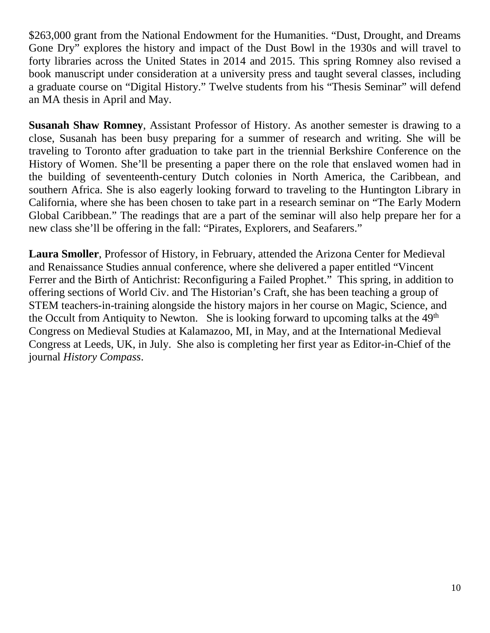\$263,000 grant from the National Endowment for the Humanities. "Dust, Drought, and Dreams Gone Dry" explores the history and impact of the Dust Bowl in the 1930s and will travel to forty libraries across the United States in 2014 and 2015. This spring Romney also revised a book manuscript under consideration at a university press and taught several classes, including a graduate course on "Digital History." Twelve students from his "Thesis Seminar" will defend an MA thesis in April and May.

**Susanah Shaw Romney**, Assistant Professor of History. As another semester is drawing to a close, Susanah has been busy preparing for a summer of research and writing. She will be traveling to Toronto after graduation to take part in the triennial Berkshire Conference on the History of Women. She'll be presenting a paper there on the role that enslaved women had in the building of seventeenth-century Dutch colonies in North America, the Caribbean, and southern Africa. She is also eagerly looking forward to traveling to the Huntington Library in California, where she has been chosen to take part in a research seminar on "The Early Modern Global Caribbean." The readings that are a part of the seminar will also help prepare her for a new class she'll be offering in the fall: "Pirates, Explorers, and Seafarers."

**Laura Smoller**, Professor of History, in February, attended the Arizona Center for Medieval and Renaissance Studies annual conference, where she delivered a paper entitled "Vincent Ferrer and the Birth of Antichrist: Reconfiguring a Failed Prophet." This spring, in addition to offering sections of World Civ. and The Historian's Craft, she has been teaching a group of STEM teachers-in-training alongside the history majors in her course on Magic, Science, and the Occult from Antiquity to Newton. She is looking forward to upcoming talks at the  $49<sup>th</sup>$ Congress on Medieval Studies at Kalamazoo, MI, in May, and at the International Medieval Congress at Leeds, UK, in July. She also is completing her first year as Editor-in-Chief of the journal *History Compass*.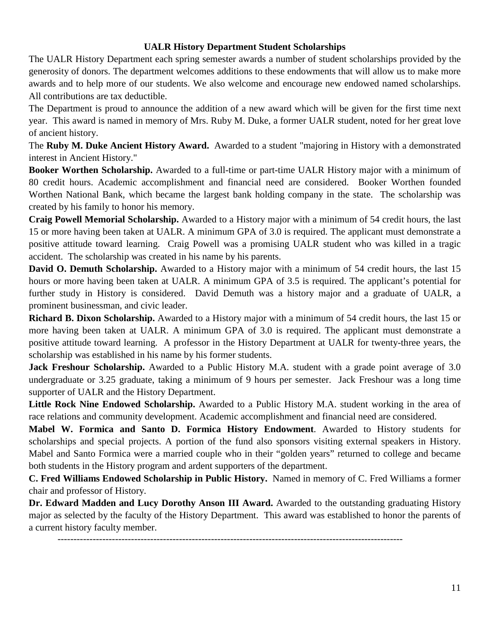#### **UALR History Department Student Scholarships**

The UALR History Department each spring semester awards a number of student scholarships provided by the generosity of donors. The department welcomes additions to these endowments that will allow us to make more awards and to help more of our students. We also welcome and encourage new endowed named scholarships. All contributions are tax deductible.

The Department is proud to announce the addition of a new award which will be given for the first time next year. This award is named in memory of Mrs. Ruby M. Duke, a former UALR student, noted for her great love of ancient history.

The **Ruby M. Duke Ancient History Award.** Awarded to a student "majoring in History with a demonstrated interest in Ancient History."

**Booker Worthen Scholarship.** Awarded to a full-time or part-time UALR History major with a minimum of 80 credit hours. Academic accomplishment and financial need are considered. Booker Worthen founded Worthen National Bank, which became the largest bank holding company in the state. The scholarship was created by his family to honor his memory.

**Craig Powell Memorial Scholarship.** Awarded to a History major with a minimum of 54 credit hours, the last 15 or more having been taken at UALR. A minimum GPA of 3.0 is required. The applicant must demonstrate a positive attitude toward learning. Craig Powell was a promising UALR student who was killed in a tragic accident. The scholarship was created in his name by his parents.

**David O. Demuth Scholarship.** Awarded to a History major with a minimum of 54 credit hours, the last 15 hours or more having been taken at UALR. A minimum GPA of 3.5 is required. The applicant's potential for further study in History is considered. David Demuth was a history major and a graduate of UALR, a prominent businessman, and civic leader.

**Richard B. Dixon Scholarship.** Awarded to a History major with a minimum of 54 credit hours, the last 15 or more having been taken at UALR. A minimum GPA of 3.0 is required. The applicant must demonstrate a positive attitude toward learning. A professor in the History Department at UALR for twenty-three years, the scholarship was established in his name by his former students.

**Jack Freshour Scholarship.** Awarded to a Public History M.A. student with a grade point average of 3.0 undergraduate or 3.25 graduate, taking a minimum of 9 hours per semester. Jack Freshour was a long time supporter of UALR and the History Department.

**Little Rock Nine Endowed Scholarship.** Awarded to a Public History M.A. student working in the area of race relations and community development. Academic accomplishment and financial need are considered.

**Mabel W. Formica and Santo D. Formica History Endowment**. Awarded to History students for scholarships and special projects. A portion of the fund also sponsors visiting external speakers in History. Mabel and Santo Formica were a married couple who in their "golden years" returned to college and became both students in the History program and ardent supporters of the department.

**C. Fred Williams Endowed Scholarship in Public History.** Named in memory of C. Fred Williams a former chair and professor of History.

Dr. Edward Madden and Lucy Dorothy Anson III Award. Awarded to the outstanding graduating History major as selected by the faculty of the History Department. This award was established to honor the parents of a current history faculty member.

------------------------------------------------------------------------------------------------------------